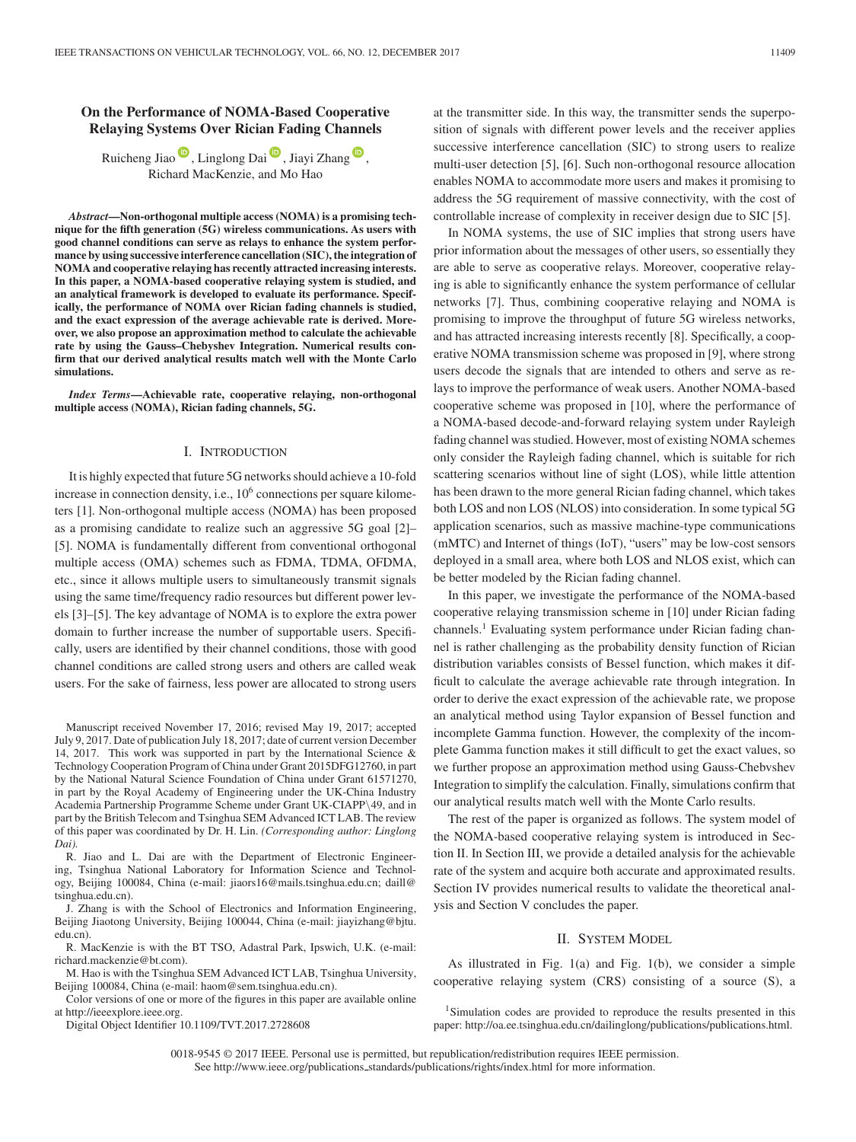# **On the Performance of NOMA-Based Cooperative Relaying Systems Over Rician Fading Channels**

Ruicheng Jiao [,](https://orcid.org/0000-0003-2434-4329) Linglong Dai  $\overline{\mathbb{D}}$ , Jiayi Zhang  $\overline{\mathbb{D}}$ , Richard MacKenzie, and Mo Hao

*Abstract***—Non-orthogonal multiple access (NOMA) is a promising technique for the fifth generation (5G) wireless communications. As users with good channel conditions can serve as relays to enhance the system performance by using successive interference cancellation (SIC), the integration of NOMA and cooperative relaying has recently attracted increasing interests. In this paper, a NOMA-based cooperative relaying system is studied, and an analytical framework is developed to evaluate its performance. Specifically, the performance of NOMA over Rician fading channels is studied, and the exact expression of the average achievable rate is derived. Moreover, we also propose an approximation method to calculate the achievable rate by using the Gauss–Chebyshev Integration. Numerical results confirm that our derived analytical results match well with the Monte Carlo simulations.**

*Index Terms***—Achievable rate, cooperative relaying, non-orthogonal multiple access (NOMA), Rician fading channels, 5G.**

#### I. INTRODUCTION

It is highly expected that future 5G networks should achieve a 10-fold increase in connection density, i.e.,  $10<sup>6</sup>$  connections per square kilometers [1]. Non-orthogonal multiple access (NOMA) has been proposed as a promising candidate to realize such an aggressive 5G goal [2]– [5]. NOMA is fundamentally different from conventional orthogonal multiple access (OMA) schemes such as FDMA, TDMA, OFDMA, etc., since it allows multiple users to simultaneously transmit signals using the same time/frequency radio resources but different power levels [3]–[5]. The key advantage of NOMA is to explore the extra power domain to further increase the number of supportable users. Specifically, users are identified by their channel conditions, those with good channel conditions are called strong users and others are called weak users. For the sake of fairness, less power are allocated to strong users

R. Jiao and L. Dai are with the Department of Electronic Engineering, Tsinghua National Laboratory for Information Science and Technology, Beijing 100084, China (e-mail: jiaors16@mails.tsinghua.edu.cn; daill@ tsinghua.edu.cn).

J. Zhang is with the School of Electronics and Information Engineering, Beijing Jiaotong University, Beijing 100044, China (e-mail: jiayizhang@bjtu. edu.cn).

R. MacKenzie is with the BT TSO, Adastral Park, Ipswich, U.K. (e-mail: richard.mackenzie@bt.com).

M. Hao is with the Tsinghua SEM Advanced ICT LAB, Tsinghua University, Beijing 100084, China (e-mail: haom@sem.tsinghua.edu.cn).

Color versions of one or more of the figures in this paper are available online at http://ieeexplore.ieee.org.

Digital Object Identifier 10.1109/TVT.2017.2728608

at the transmitter side. In this way, the transmitter sends the superposition of signals with different power levels and the receiver applies successive interference cancellation (SIC) to strong users to realize multi-user detection [5], [6]. Such non-orthogonal resource allocation enables NOMA to accommodate more users and makes it promising to address the 5G requirement of massive connectivity, with the cost of controllable increase of complexity in receiver design due to SIC [5].

In NOMA systems, the use of SIC implies that strong users have prior information about the messages of other users, so essentially they are able to serve as cooperative relays. Moreover, cooperative relaying is able to significantly enhance the system performance of cellular networks [7]. Thus, combining cooperative relaying and NOMA is promising to improve the throughput of future 5G wireless networks, and has attracted increasing interests recently [8]. Specifically, a cooperative NOMA transmission scheme was proposed in [9], where strong users decode the signals that are intended to others and serve as relays to improve the performance of weak users. Another NOMA-based cooperative scheme was proposed in [10], where the performance of a NOMA-based decode-and-forward relaying system under Rayleigh fading channel was studied. However, most of existing NOMA schemes only consider the Rayleigh fading channel, which is suitable for rich scattering scenarios without line of sight (LOS), while little attention has been drawn to the more general Rician fading channel, which takes both LOS and non LOS (NLOS) into consideration. In some typical 5G application scenarios, such as massive machine-type communications (mMTC) and Internet of things (IoT), "users" may be low-cost sensors deployed in a small area, where both LOS and NLOS exist, which can be better modeled by the Rician fading channel.

In this paper, we investigate the performance of the NOMA-based cooperative relaying transmission scheme in [10] under Rician fading channels.<sup>1</sup> Evaluating system performance under Rician fading channel is rather challenging as the probability density function of Rician distribution variables consists of Bessel function, which makes it difficult to calculate the average achievable rate through integration. In order to derive the exact expression of the achievable rate, we propose an analytical method using Taylor expansion of Bessel function and incomplete Gamma function. However, the complexity of the incomplete Gamma function makes it still difficult to get the exact values, so we further propose an approximation method using Gauss-Chebvshev Integration to simplify the calculation. Finally, simulations confirm that our analytical results match well with the Monte Carlo results.

The rest of the paper is organized as follows. The system model of the NOMA-based cooperative relaying system is introduced in Section II. In Section III, we provide a detailed analysis for the achievable rate of the system and acquire both accurate and approximated results. Section IV provides numerical results to validate the theoretical analysis and Section V concludes the paper.

### II. SYSTEM MODEL

As illustrated in Fig. 1(a) and Fig. 1(b), we consider a simple cooperative relaying system (CRS) consisting of a source (S), a

<sup>1</sup>Simulation codes are provided to reproduce the results presented in this paper: http://oa.ee.tsinghua.edu.cn/dailinglong/publications/publications.html.

0018-9545 © 2017 IEEE. Personal use is permitted, but republication/redistribution requires IEEE permission. See http://www.ieee.org/publications.standards/publications/rights/index.html for more information.

Manuscript received November 17, 2016; revised May 19, 2017; accepted July 9, 2017. Date of publication July 18, 2017; date of current version December 14, 2017. This work was supported in part by the International Science & Technology Cooperation Program of China under Grant 2015DFG12760, in part by the National Natural Science Foundation of China under Grant 61571270, in part by the Royal Academy of Engineering under the UK-China Industry Academia Partnership Programme Scheme under Grant UK-CIAPP\49, and in part by the British Telecom and Tsinghua SEM Advanced ICT LAB. The review of this paper was coordinated by Dr. H. Lin. *(Corresponding author: Linglong Dai).*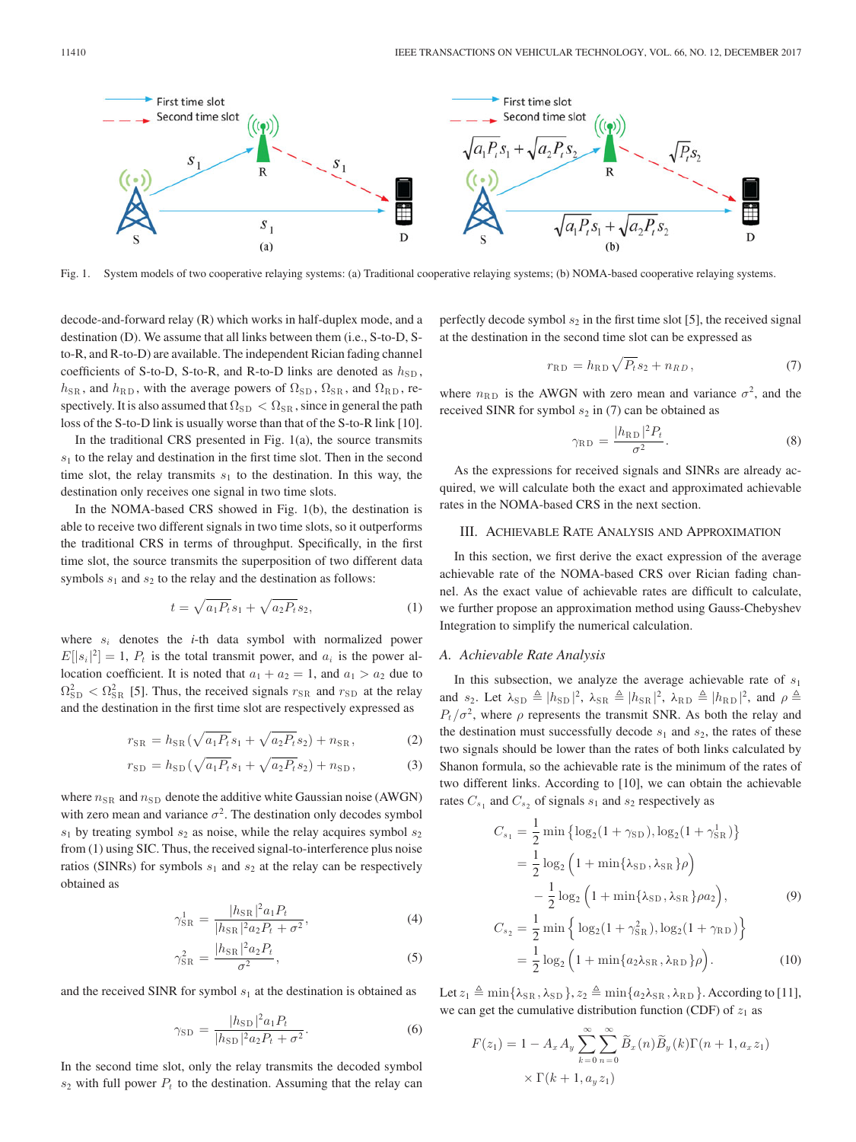

Fig. 1. System models of two cooperative relaying systems: (a) Traditional cooperative relaying systems; (b) NOMA-based cooperative relaying systems.

decode-and-forward relay (R) which works in half-duplex mode, and a destination (D). We assume that all links between them (i.e., S-to-D, Sto-R, and R-to-D) are available. The independent Rician fading channel coefficients of S-to-D, S-to-R, and R-to-D links are denoted as  $h_{SD}$ ,  $h_{\text{SR}}$ , and  $h_{\text{RD}}$ , with the average powers of  $\Omega_{\text{SD}}$ ,  $\Omega_{\text{SR}}$ , and  $\Omega_{\text{RD}}$ , re-<br>exectively It is also assumed that  $\Omega$   $\leq \Omega$  , since in general the path spectively. It is also assumed that  $\Omega_{SD} < \Omega_{SR}$ , since in general the path loss of the S-to-D link is usually worse than that of the S-to-R link [10].

In the traditional CRS presented in Fig.  $1(a)$ , the source transmits  $s<sub>1</sub>$  to the relay and destination in the first time slot. Then in the second time slot, the relay transmits  $s_1$  to the destination. In this way, the destination only receives one signal in two time slots.

In the NOMA-based CRS showed in Fig. 1(b), the destination is able to receive two different signals in two time slots, so it outperforms the traditional CRS in terms of throughput. Specifically, in the first time slot, the source transmits the superposition of two different data symbols  $s_1$  and  $s_2$  to the relay and the destination as follows:

$$
t = \sqrt{a_1 P_t} s_1 + \sqrt{a_2 P_t} s_2,
$$
 (1)

where  $s_i$  denotes the  $i$ -th data symbol with normalized power  $E[|s_i|^2] = 1$ ,  $P_t$  is the total transmit power, and  $a_i$  is the power allocation coefficient. It is noted that  $a_1 + a_2 = 1$ , and  $a_1 > a_2$  due to  $\Omega_{SD}^2 < \Omega_{SR}^2$  [5]. Thus, the received signals  $r_{SR}$  and  $r_{SD}$  at the relay and the destination in the first time slot are respectively expressed as

$$
r_{\rm SR} = h_{\rm SR} \left( \sqrt{a_1 P_t} s_1 + \sqrt{a_2 P_t} s_2 \right) + n_{\rm SR}, \tag{2}
$$

$$
r_{\rm SD} = h_{\rm SD} \left( \sqrt{a_1 P_t} s_1 + \sqrt{a_2 P_t} s_2 \right) + n_{\rm SD},\tag{3}
$$

where  $n_{\text{SR}}$  and  $n_{\text{SD}}$  denote the additive white Gaussian noise (AWGN) with zero mean and variance  $\sigma^2$ . The destination only decodes symbol  $s_1$  by treating symbol  $s_2$  as noise, while the relay acquires symbol  $s_2$ from (1) using SIC. Thus, the received signal-to-interference plus noise ratios (SINRs) for symbols  $s_1$  and  $s_2$  at the relay can be respectively obtained as

$$
\gamma_{\rm SR}^1 = \frac{|h_{\rm SR}|^2 a_1 P_t}{|h_{\rm SR}|^2 a_2 P_t + \sigma^2},\tag{4}
$$

$$
\gamma_{\rm SR}^2 = \frac{|h_{\rm SR}|^2 a_2 P_t}{\sigma^2},\tag{5}
$$

and the received SINR for symbol  $s_1$  at the destination is obtained as

$$
\gamma_{\rm SD} = \frac{|h_{\rm SD}|^2 a_1 P_t}{|h_{\rm SD}|^2 a_2 P_t + \sigma^2}.
$$
\n(6)

In the second time slot, only the relay transmits the decoded symbol  $s_2$  with full power  $P_t$  to the destination. Assuming that the relay can perfectly decode symbol  $s_2$  in the first time slot [5], the received signal at the destination in the second time slot can be expressed as

$$
r_{\rm RD} = h_{\rm RD} \sqrt{P_t} s_2 + n_{RD},\tag{7}
$$

where  $n_{\rm RD}$  is the AWGN with zero mean and variance  $\sigma^2$ , and the received SINR for symbol  $s_2$  in (7) can be obtained as

$$
\gamma_{\rm RD} = \frac{|h_{\rm RD}|^2 P_t}{\sigma^2}.
$$
 (8)

As the expressions for received signals and SINRs are already acquired, we will calculate both the exact and approximated achievable rates in the NOMA-based CRS in the next section.

### III. ACHIEVABLE RATE ANALYSIS AND APPROXIMATION

In this section, we first derive the exact expression of the average achievable rate of the NOMA-based CRS over Rician fading channel. As the exact value of achievable rates are difficult to calculate, we further propose an approximation method using Gauss-Chebyshev Integration to simplify the numerical calculation.

### *A. Achievable Rate Analysis*

In this subsection, we analyze the average achievable rate of  $s_1$ and  $s_2$ . Let  $\lambda_{SD} \triangleq |h_{SD}|^2$ ,  $\lambda_{SR} \triangleq |h_{SR}|^2$ ,  $\lambda_{RD} \triangleq |h_{RD}|^2$ , and  $\rho \triangleq$  $P_t / \sigma^2$ , where  $\rho$  represents the transmit SNR. As both the relay and the destination must successfully decode  $s_1$  and  $s_2$ , the rates of these two signals should be lower than the rates of both links calculated by Shanon formula, so the achievable rate is the minimum of the rates of two different links. According to [10], we can obtain the achievable rates  $C_{s_1}$  and  $C_{s_2}$  of signals  $s_1$  and  $s_2$  respectively as

$$
C_{s_1} = \frac{1}{2} \min \{ \log_2(1 + \gamma_{SD}), \log_2(1 + \gamma_{SR}^1) \}
$$
  
=  $\frac{1}{2} \log_2 (1 + \min \{ \lambda_{SD}, \lambda_{SR} \} \rho)$   
 $- \frac{1}{2} \log_2 (1 + \min \{ \lambda_{SD}, \lambda_{SR} \} \rho a_2),$  (9)  

$$
C_{s_2} = \frac{1}{2} \min \{ \log_2(1 + \gamma_{SR}^2), \log_2(1 + \gamma_{RD}) \}
$$
  
=  $\frac{1}{2} \log_2 (1 + \min \{ a_2 \lambda_{SR}, \lambda_{RD} \} \rho).$  (10)

Let  $z_1 \triangleq \min\{\lambda_{\text{SR}}, \lambda_{\text{SD}}\}$ ,  $z_2 \triangleq \min\{a_2\lambda_{\text{SR}}, \lambda_{\text{RD}}\}$ . According to [11], we can get the cumulative distribution function (CDF) of  $z_1$  as

$$
F(z_1) = 1 - A_x A_y \sum_{k=0}^{\infty} \sum_{n=0}^{\infty} \widetilde{B}_x(n) \widetilde{B}_y(k) \Gamma(n+1, a_x z_1)
$$
  
 
$$
\times \Gamma(k+1, a_y z_1)
$$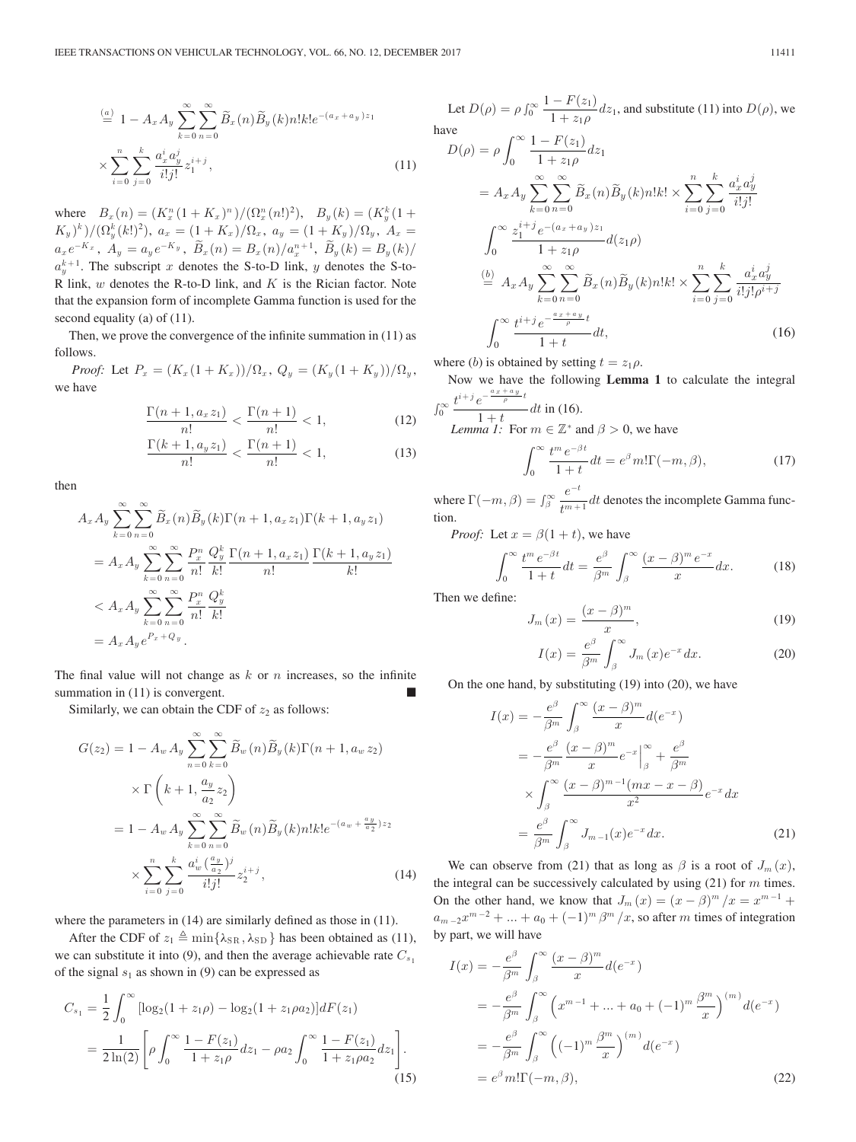$$
\stackrel{(a)}{=} 1 - A_x A_y \sum_{k=0}^{\infty} \sum_{n=0}^{\infty} \widetilde{B}_x(n) \widetilde{B}_y(k) n! k! e^{-(a_x + a_y) z_1}
$$
\n
$$
\times \sum_{i=0}^{n} \sum_{j=0}^{k} \frac{a_x^i a_y^j}{i! j!} z_1^{i+j},
$$
\n(11)

where  $B_x(n) = (K_x^n (1 + K_x)^n) / (\Omega_x^n (n!)^2), B_y(k) = (K_y^k (1 + K_x)^{k}) / (\Omega_x^k (k!)^2)$  $(K_y)^k$ / $((\Omega_y^k(k!)^2), a_x = (1 + K_x)/\Omega_x, a_y = (1 + K_y)/\Omega_y, A_x =$  $a_x e^{-K_x}$ ,  $A_y = a_y e^{-K_y}$ ,  $\widetilde{B}_x(n) = B_x(n)/a_x^{n+1}$ ,  $\widetilde{B}_y(k) = B_y(k)/a_x^{n+1}$ . The subscript a denotes the S to D link at denotes the S to  $a_n^{k+1}$ . The subscript x denotes the S-to-D link, y denotes the S-to-R link,  $w$  denotes the R-to-D link, and  $K$  is the Rician factor. Note that the expansion form of incomplete Gamma function is used for the second equality (a) of (11).

Then, we prove the convergence of the infinite summation in (11) as follows.

*Proof:* Let  $P_x = (K_x(1 + K_x))/\Omega_x$ ,  $Q_y = (K_y(1 + K_y))/\Omega_y$ , we have

$$
\frac{\Gamma(n+1, a_x z_1)}{n!} < \frac{\Gamma(n+1)}{n!} < 1,\tag{12}
$$
\n
$$
\frac{\Gamma(k+1, a_x z_1)}{\Gamma(n+1)}
$$

$$
\frac{\Gamma(k+1, a_y z_1)}{n!} < \frac{\Gamma(n+1)}{n!} < 1,\tag{13}
$$

then

$$
A_x A_y \sum_{k=0}^{\infty} \sum_{n=0}^{\infty} \widetilde{B}_x(n) \widetilde{B}_y(k) \Gamma(n+1, a_x z_1) \Gamma(k+1, a_y z_1)
$$
  
=  $A_x A_y \sum_{k=0}^{\infty} \sum_{n=0}^{\infty} \frac{P_x^n}{n!} \frac{Q_y^k}{k!} \frac{\Gamma(n+1, a_x z_1)}{n!} \frac{\Gamma(k+1, a_y z_1)}{k!}$   
<  $A_x A_y \sum_{k=0}^{\infty} \sum_{n=0}^{\infty} \frac{P_x^n}{n!} \frac{Q_y^k}{k!}$   
=  $A_x A_y e^{P_x + Q_y}$ .

The final value will not change as  $k$  or  $n$  increases, so the infinite summation in  $(11)$  is convergent.

Similarly, we can obtain the CDF of  $z_2$  as follows:

$$
G(z_2) = 1 - A_w A_y \sum_{n=0}^{\infty} \sum_{k=0}^{\infty} \widetilde{B}_w(n) \widetilde{B}_y(k) \Gamma(n+1, a_w z_2)
$$
  
 
$$
\times \Gamma\left(k+1, \frac{a_y}{a_2} z_2\right)
$$
  

$$
= 1 - A_w A_y \sum_{k=0}^{\infty} \sum_{n=0}^{\infty} \widetilde{B}_w(n) \widetilde{B}_y(k) n! k! e^{-(a_w + \frac{a_y}{a_2}) z_2}
$$
  

$$
\times \sum_{i=0}^n \sum_{j=0}^k \frac{a_w^i (\frac{a_y}{a_2})^j}{i! j!} z_2^{i+j}, \qquad (14)
$$

where the parameters in  $(14)$  are similarly defined as those in  $(11)$ .

After the CDF of  $z_1 \triangleq \min\{\lambda_{\text{SR}}, \lambda_{\text{SD}}\}$  has been obtained as (11), we can substitute it into (9), and then the average achievable rate  $C_{s_1}$ of the signal  $s_1$  as shown in (9) can be expressed as

$$
C_{s_1} = \frac{1}{2} \int_0^\infty \left[ \log_2(1 + z_1 \rho) - \log_2(1 + z_1 \rho a_2) \right] dF(z_1)
$$
  
= 
$$
\frac{1}{2 \ln(2)} \left[ \rho \int_0^\infty \frac{1 - F(z_1)}{1 + z_1 \rho} dz_1 - \rho a_2 \int_0^\infty \frac{1 - F(z_1)}{1 + z_1 \rho a_2} dz_1 \right].
$$
 (15)

Let  $D(\rho) = \rho \int_0^\infty \frac{1 - F(z_1)}{1 + z_1 \rho}$  $\frac{(-F(z_1))}{1+z_1\rho}$  dz<sub>1</sub>, and substitute (11) into  $D(\rho)$ , we have

$$
D(\rho) = \rho \int_0^\infty \frac{1 - F(z_1)}{1 + z_1 \rho} dz_1
$$
  
\n
$$
= A_x A_y \sum_{k=0}^\infty \sum_{n=0}^\infty \widetilde{B}_x(n) \widetilde{B}_y(k) n! k! \times \sum_{i=0}^n \sum_{j=0}^k \frac{a_x^i a_y^j}{i! j!}
$$
  
\n
$$
\int_0^\infty \frac{z_1^{i+j} e^{-(a_x + a_y)z_1}}{1 + z_1 \rho} d(z_1 \rho)
$$
  
\n
$$
\stackrel{(b)}{=} A_x A_y \sum_{k=0}^\infty \sum_{n=0}^\infty \widetilde{B}_x(n) \widetilde{B}_y(k) n! k! \times \sum_{i=0}^n \sum_{j=0}^k \frac{a_x^i a_y^j}{i! j! \rho^{i+j}}
$$
  
\n
$$
\int_0^\infty \frac{t^{i+j} e^{\frac{-a_x + a_y}{\rho} t}}{1 + t} dt,
$$
\n(16)

where (b) is obtained by setting  $t = z_1 \rho$ .

Now we have the following **Lemma 1** to calculate the integral  $t^{i+j}e^{-\frac{a_x+a_y}{\rho}t}$ 

$$
\int_0^\infty \frac{t^{1/2} e^{-t^2}}{1+t} dt \text{ in (16).}
$$
  
Lemma 1: For  $m \in \mathbb{Z}^*$  and  $\beta > 0$ , we have  

$$
\int_0^\infty t^m e^{-\beta t} dt = e^{\beta m} \ln(\beta - \beta)
$$
 (17)

 $\int_{0}^{\infty} \frac{t^{m} e^{-\beta x}}{1+t} dt = e^{\beta} m! \Gamma(-m, \beta),$  (17) where  $\Gamma(-m, \beta) = \int_{\beta}^{\infty}$  $\frac{e^{-t}}{t^{m+1}}$  dt denotes the incomplete Gamma function.

*Proof:* Let  $x = \beta(1 + t)$ , we have

$$
\int_0^\infty \frac{t^m \, e^{-\beta t}}{1+t} dt = \frac{e^\beta}{\beta^m} \int_\beta^\infty \frac{(x-\beta)^m \, e^{-x}}{x} dx. \tag{18}
$$

Then we define:

$$
J_m(x) = \frac{(x - \beta)^m}{x},
$$
(19)

$$
I(x) = \frac{e^{\beta}}{\beta^m} \int_{\beta}^{\infty} J_m(x) e^{-x} dx.
$$
 (20)

On the one hand, by substituting (19) into (20), we have

$$
I(x) = -\frac{e^{\beta}}{\beta^m} \int_{\beta}^{\infty} \frac{(x-\beta)^m}{x} d(e^{-x})
$$
  
=  $-\frac{e^{\beta}}{\beta^m} \frac{(x-\beta)^m}{x} e^{-x} \Big|_{\beta}^{\infty} + \frac{e^{\beta}}{\beta^m}$   
 $\times \int_{\beta}^{\infty} \frac{(x-\beta)^{m-1} (mx - x - \beta)}{x^2} e^{-x} dx$   
=  $\frac{e^{\beta}}{\beta^m} \int_{\beta}^{\infty} J_{m-1}(x) e^{-x} dx.$  (21)

We can observe from (21) that as long as  $\beta$  is a root of  $J_m(x)$ , the integral can be successively calculated by using  $(21)$  for m times. On the other hand, we know that  $J_m(x)=(x - \beta)^m / x = x^{m-1} +$  $a_{m-2}x^{m-2} + \ldots + a_0 + (-1)^m \beta^m / x$ , so after m times of integration by part, we will have

$$
I(x) = -\frac{e^{\beta}}{\beta^m} \int_{\beta}^{\infty} \frac{(x-\beta)^m}{x} d(e^{-x})
$$
  

$$
= -\frac{e^{\beta}}{\beta^m} \int_{\beta}^{\infty} \left( x^{m-1} + \dots + a_0 + (-1)^m \frac{\beta^m}{x} \right)^{(m)} d(e^{-x})
$$
  

$$
= -\frac{e^{\beta}}{\beta^m} \int_{\beta}^{\infty} \left( (-1)^m \frac{\beta^m}{x} \right)^{(m)} d(e^{-x})
$$
  

$$
= e^{\beta} m! \Gamma(-m, \beta), \qquad (22)
$$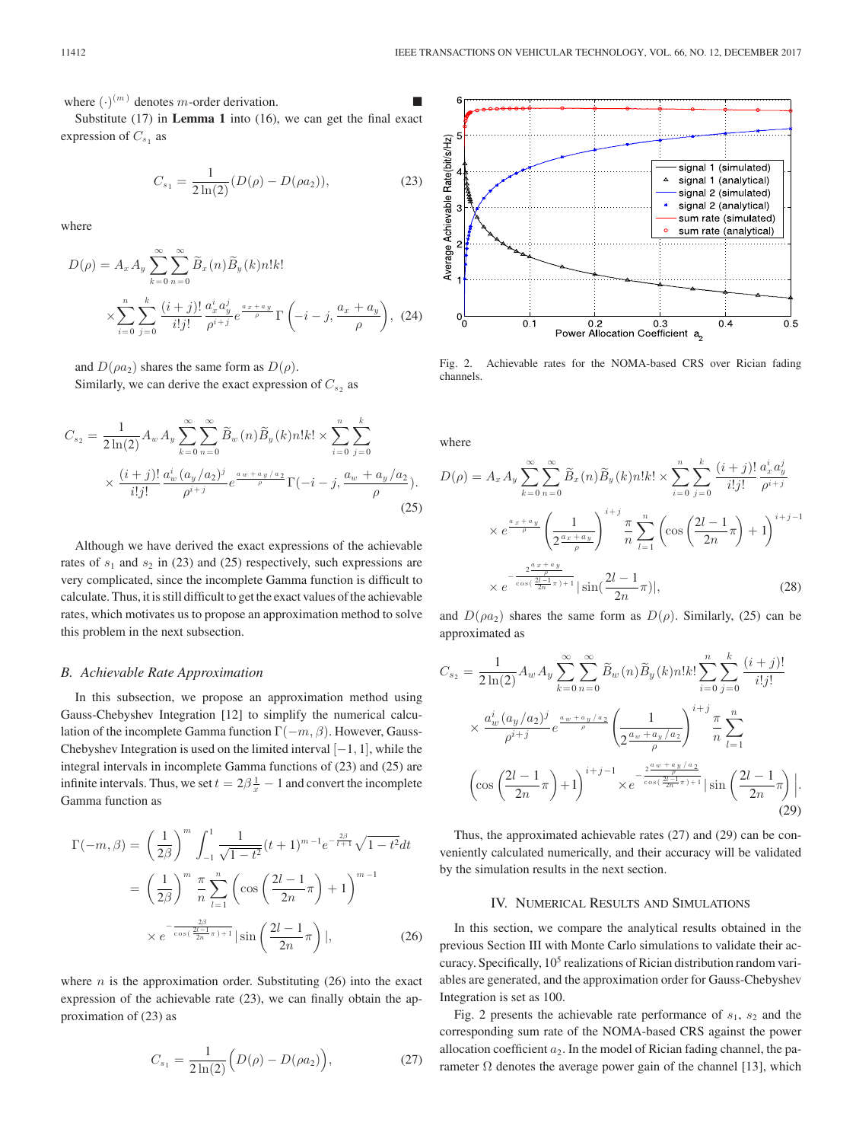where  $(\cdot)^{(m)}$  denotes *m*-order derivation.

Substitute (17) in **Lemma 1** into (16), we can get the final exact expression of  $C_{s_1}$  as

$$
C_{s_1} = \frac{1}{2\ln(2)} (D(\rho) - D(\rho a_2)), \tag{23}
$$

where

$$
D(\rho) = A_x A_y \sum_{k=0}^{\infty} \sum_{n=0}^{\infty} \widetilde{B}_x(n) \widetilde{B}_y(k) n! k!
$$
  
 
$$
\times \sum_{i=0}^{n} \sum_{j=0}^{k} \frac{(i+j)!}{i!j!} \frac{a_x^i a_y^j}{\rho^{i+j}} e^{\frac{a_x + a_y}{\rho}} \Gamma\left(-i - j, \frac{a_x + a_y}{\rho}\right), (24)
$$

and  $D(\rho a_2)$  shares the same form as  $D(\rho)$ .

Similarly, we can derive the exact expression of  $C_s$ , as

$$
C_{s_2} = \frac{1}{2\ln(2)} A_w A_y \sum_{k=0}^{\infty} \sum_{n=0}^{\infty} \widetilde{B}_w(n) \widetilde{B}_y(k) n! k! \times \sum_{i=0}^n \sum_{j=0}^k
$$
  
 
$$
\times \frac{(i+j)!}{i!j!} \frac{a_w^i (a_y/a_2)^j}{\rho^{i+j}} e^{\frac{aw + ay/a_2}{\rho}} \Gamma(-i-j, \frac{a_w + a_y/a_2}{\rho}).
$$
 (25)

Although we have derived the exact expressions of the achievable rates of  $s_1$  and  $s_2$  in (23) and (25) respectively, such expressions are very complicated, since the incomplete Gamma function is difficult to calculate. Thus, it is still difficult to get the exact values of the achievable rates, which motivates us to propose an approximation method to solve this problem in the next subsection.

#### *B. Achievable Rate Approximation*

In this subsection, we propose an approximation method using Gauss-Chebyshev Integration [12] to simplify the numerical calculation of the incomplete Gamma function  $\Gamma(-m, \beta)$ . However, Gauss-Chebyshev Integration is used on the limited interval  $[-1, 1]$ , while the integral intervals in incomplete Gamma functions of (23) and (25) are infinite intervals. Thus, we set  $t = 2\beta \frac{1}{x} - 1$  and convert the incomplete Gamma function as

$$
\Gamma(-m,\beta) = \left(\frac{1}{2\beta}\right)^m \int_{-1}^1 \frac{1}{\sqrt{1-t^2}} (t+1)^{m-1} e^{-\frac{2\beta}{t+1}} \sqrt{1-t^2} dt
$$

$$
= \left(\frac{1}{2\beta}\right)^m \frac{\pi}{n} \sum_{l=1}^n \left(\cos\left(\frac{2l-1}{2n}\pi\right) + 1\right)^{m-1}
$$

$$
\times e^{-\frac{2\beta}{\cos\left(\frac{2l-1}{2n}\pi\right)+1}} |\sin\left(\frac{2l-1}{2n}\pi\right)|, \tag{26}
$$

where  $n$  is the approximation order. Substituting  $(26)$  into the exact expression of the achievable rate (23), we can finally obtain the approximation of (23) as

$$
C_{s_1} = \frac{1}{2\ln(2)} \Big( D(\rho) - D(\rho a_2) \Big), \tag{27}
$$



Fig. 2. Achievable rates for the NOMA-based CRS over Rician fading channels.

where

$$
D(\rho) = A_x A_y \sum_{k=0}^{\infty} \sum_{n=0}^{\infty} \widetilde{B}_x(n) \widetilde{B}_y(k) n! k! \times \sum_{i=0}^n \sum_{j=0}^k \frac{(i+j)!}{i!j!} \frac{a_x^i a_y^j}{\rho^{i+j}}
$$

$$
\times e^{\frac{a_x + a_y}{\rho}} \left(\frac{1}{2^{\frac{a_x + a_y}{\rho}}}\right)^{i+j} \frac{\pi}{n} \sum_{l=1}^n \left(\cos\left(\frac{2l-1}{2n}\pi\right) + 1\right)^{i+j-1}
$$

$$
\times e^{-\frac{2^{\frac{a_x + a_y}{2n}} \pi}{\cos\left(\frac{2l-1}{2n}\pi\right) + 1}} |\sin\left(\frac{2l-1}{2n}\pi\right)|, \tag{28}
$$

and  $D(\rho a_2)$  shares the same form as  $D(\rho)$ . Similarly, (25) can be approximated as

$$
C_{s_2} = \frac{1}{2\ln(2)} A_w A_y \sum_{k=0}^{\infty} \sum_{n=0}^{\infty} \tilde{B}_w(n) \tilde{B}_y(k) n! k! \sum_{i=0}^n \sum_{j=0}^k \frac{(i+j)!}{i!j!}
$$
  
 
$$
\times \frac{a_w^i (a_y/a_2)^j}{\rho^{i+j}} e^{\frac{aw + ay/a_2}{\rho}} \left(\frac{1}{2\frac{a_w + a_y/a_2}{\rho}}\right)^{i+j} \frac{\pi}{n} \sum_{l=1}^n
$$
  
\n
$$
\left(\cos\left(\frac{2l-1}{2n}\pi\right)+1\right)^{i+j-1} \times e^{-\frac{2\frac{aw + a_y/a_2}{\rho}}{\cos\left(\frac{2l-1}{2n}\pi\right)+1} \left|\sin\left(\frac{2l-1}{2n}\pi\right)\right|.
$$
  
\n(29)

Thus, the approximated achievable rates (27) and (29) can be conveniently calculated numerically, and their accuracy will be validated by the simulation results in the next section.

## IV. NUMERICAL RESULTS AND SIMULATIONS

In this section, we compare the analytical results obtained in the previous Section III with Monte Carlo simulations to validate their accuracy. Specifically,  $10<sup>5</sup>$  realizations of Rician distribution random variables are generated, and the approximation order for Gauss-Chebyshev Integration is set as 100.

Fig. 2 presents the achievable rate performance of  $s_1$ ,  $s_2$  and the corresponding sum rate of the NOMA-based CRS against the power allocation coefficient  $a_2$ . In the model of Rician fading channel, the parameter  $\Omega$  denotes the average power gain of the channel [13], which